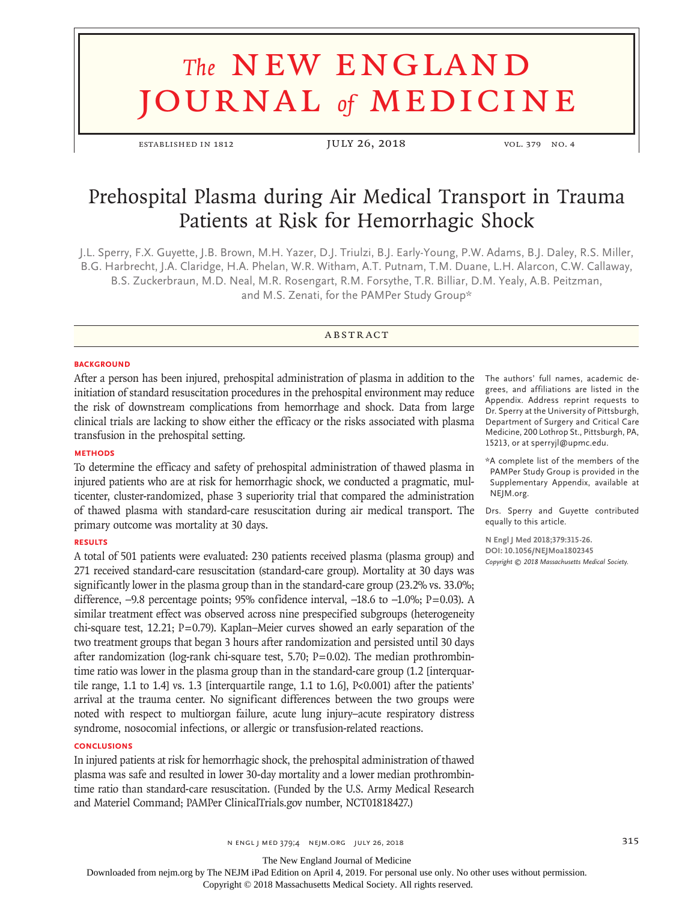# **The NEW ENGLAND** journal *of* medicine

established in 1812 JULY 26, 2018 vol. 379 no. 4

# Prehospital Plasma during Air Medical Transport in Trauma Patients at Risk for Hemorrhagic Shock

J.L. Sperry, F.X. Guyette, J.B. Brown, M.H. Yazer, D.J. Triulzi, B.J. Early‑Young, P.W. Adams, B.J. Daley, R.S. Miller, B.G. Harbrecht, J.A. Claridge, H.A. Phelan, W.R. Witham, A.T. Putnam, T.M. Duane, L.H. Alarcon, C.W. Callaway, B.S. Zuckerbraun, M.D. Neal, M.R. Rosengart, R.M. Forsythe, T.R. Billiar, D.M. Yealy, A.B. Peitzman, and M.S. Zenati, for the PAMPer Study Group\*

## **ABSTRACT**

#### **BACKGROUND**

After a person has been injured, prehospital administration of plasma in addition to the initiation of standard resuscitation procedures in the prehospital environment may reduce the risk of downstream complications from hemorrhage and shock. Data from large clinical trials are lacking to show either the efficacy or the risks associated with plasma transfusion in the prehospital setting.

# **METHODS**

To determine the efficacy and safety of prehospital administration of thawed plasma in injured patients who are at risk for hemorrhagic shock, we conducted a pragmatic, multicenter, cluster-randomized, phase 3 superiority trial that compared the administration of thawed plasma with standard-care resuscitation during air medical transport. The primary outcome was mortality at 30 days.

#### **RESULTS**

A total of 501 patients were evaluated: 230 patients received plasma (plasma group) and 271 received standard-care resuscitation (standard-care group). Mortality at 30 days was significantly lower in the plasma group than in the standard-care group (23.2% vs. 33.0%; difference, −9.8 percentage points; 95% confidence interval, −18.6 to −1.0%; P=0.03). A similar treatment effect was observed across nine prespecified subgroups (heterogeneity chi-square test, 12.21; P=0.79). Kaplan–Meier curves showed an early separation of the two treatment groups that began 3 hours after randomization and persisted until 30 days after randomization (log-rank chi-square test, 5.70;  $P=0.02$ ). The median prothrombintime ratio was lower in the plasma group than in the standard-care group (1.2 [interquartile range, 1.1 to 1.4] vs. 1.3 [interquartile range, 1.1 to 1.6], P<0.001) after the patients' arrival at the trauma center. No significant differences between the two groups were noted with respect to multiorgan failure, acute lung injury–acute respiratory distress syndrome, nosocomial infections, or allergic or transfusion-related reactions.

#### **CONCLUSIONS**

In injured patients at risk for hemorrhagic shock, the prehospital administration of thawed plasma was safe and resulted in lower 30-day mortality and a lower median prothrombintime ratio than standard-care resuscitation. (Funded by the U.S. Army Medical Research and Materiel Command; PAMPer ClinicalTrials.gov number, NCT01818427.)

The authors' full names, academic degrees, and affiliations are listed in the Appendix. Address reprint requests to Dr. Sperry at the University of Pittsburgh, Department of Surgery and Critical Care Medicine, 200 Lothrop St., Pittsburgh, PA, 15213, or at sperryjl@upmc.edu.

\*A complete list of the members of the PAMPer Study Group is provided in the Supplementary Appendix, available at NEJM.org.

Drs. Sperry and Guyette contributed equally to this article.

**N Engl J Med 2018;379:315-26. DOI: 10.1056/NEJMoa1802345** *Copyright © 2018 Massachusetts Medical Society.*

The New England Journal of Medicine

Downloaded from nejm.org by The NEJM iPad Edition on April 4, 2019. For personal use only. No other uses without permission.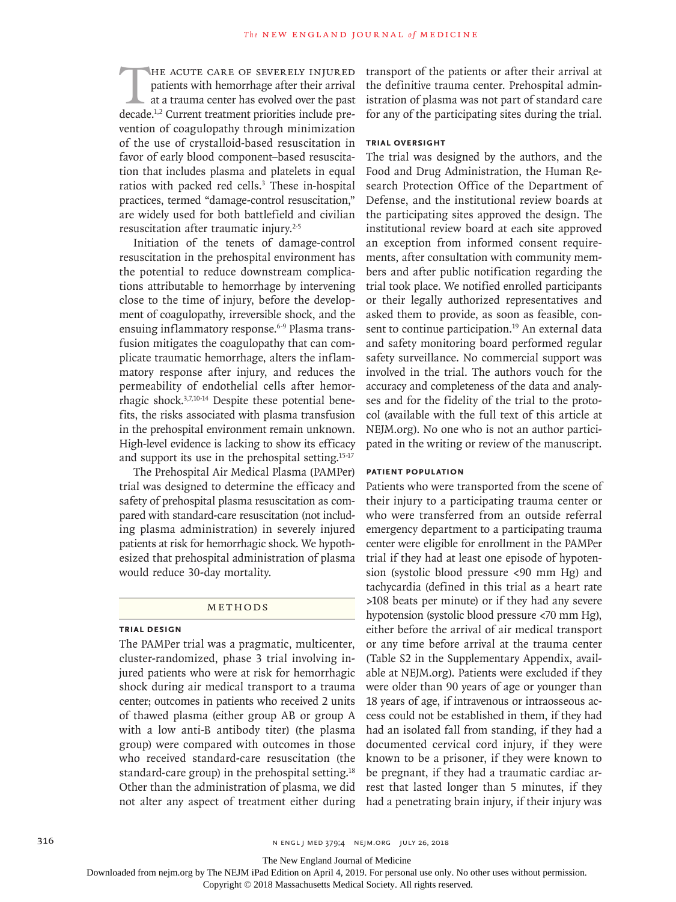THE ACUTE CARE OF SEVERELY INJURED<br>patients with hemorrhage after their arrival<br>at a trauma center has evolved over the past<br>decade.<sup>1,2</sup> Current treatment priorities include prepatients with hemorrhage after their arrival at a trauma center has evolved over the past decade.1,2 Current treatment priorities include prevention of coagulopathy through minimization of the use of crystalloid-based resuscitation in favor of early blood component–based resuscitation that includes plasma and platelets in equal ratios with packed red cells.<sup>3</sup> These in-hospital practices, termed "damage-control resuscitation," are widely used for both battlefield and civilian resuscitation after traumatic injury.<sup>2-5</sup>

Initiation of the tenets of damage-control resuscitation in the prehospital environment has the potential to reduce downstream complications attributable to hemorrhage by intervening close to the time of injury, before the development of coagulopathy, irreversible shock, and the ensuing inflammatory response.<sup>6-9</sup> Plasma transfusion mitigates the coagulopathy that can complicate traumatic hemorrhage, alters the inflammatory response after injury, and reduces the permeability of endothelial cells after hemorrhagic shock.3,7,10-14 Despite these potential benefits, the risks associated with plasma transfusion in the prehospital environment remain unknown. High-level evidence is lacking to show its efficacy and support its use in the prehospital setting.<sup>15-17</sup>

The Prehospital Air Medical Plasma (PAMPer) trial was designed to determine the efficacy and safety of prehospital plasma resuscitation as compared with standard-care resuscitation (not including plasma administration) in severely injured patients at risk for hemorrhagic shock. We hypothesized that prehospital administration of plasma would reduce 30-day mortality.

#### Methods

# **Trial Design**

The PAMPer trial was a pragmatic, multicenter, cluster-randomized, phase 3 trial involving injured patients who were at risk for hemorrhagic shock during air medical transport to a trauma center; outcomes in patients who received 2 units of thawed plasma (either group AB or group A with a low anti-B antibody titer) (the plasma group) were compared with outcomes in those who received standard-care resuscitation (the standard-care group) in the prehospital setting.<sup>18</sup> Other than the administration of plasma, we did not alter any aspect of treatment either during transport of the patients or after their arrival at the definitive trauma center. Prehospital administration of plasma was not part of standard care for any of the participating sites during the trial.

# **Trial Oversight**

The trial was designed by the authors, and the Food and Drug Administration, the Human Research Protection Office of the Department of Defense, and the institutional review boards at the participating sites approved the design. The institutional review board at each site approved an exception from informed consent requirements, after consultation with community members and after public notification regarding the trial took place. We notified enrolled participants or their legally authorized representatives and asked them to provide, as soon as feasible, consent to continue participation.<sup>19</sup> An external data and safety monitoring board performed regular safety surveillance. No commercial support was involved in the trial. The authors vouch for the accuracy and completeness of the data and analyses and for the fidelity of the trial to the protocol (available with the full text of this article at NEJM.org). No one who is not an author participated in the writing or review of the manuscript.

### **Patient Population**

Patients who were transported from the scene of their injury to a participating trauma center or who were transferred from an outside referral emergency department to a participating trauma center were eligible for enrollment in the PAMPer trial if they had at least one episode of hypotension (systolic blood pressure <90 mm Hg) and tachycardia (defined in this trial as a heart rate >108 beats per minute) or if they had any severe hypotension (systolic blood pressure <70 mm Hg), either before the arrival of air medical transport or any time before arrival at the trauma center (Table S2 in the Supplementary Appendix, available at NEJM.org). Patients were excluded if they were older than 90 years of age or younger than 18 years of age, if intravenous or intraosseous access could not be established in them, if they had had an isolated fall from standing, if they had a documented cervical cord injury, if they were known to be a prisoner, if they were known to be pregnant, if they had a traumatic cardiac arrest that lasted longer than 5 minutes, if they had a penetrating brain injury, if their injury was

The New England Journal of Medicine

Downloaded from nejm.org by The NEJM iPad Edition on April 4, 2019. For personal use only. No other uses without permission.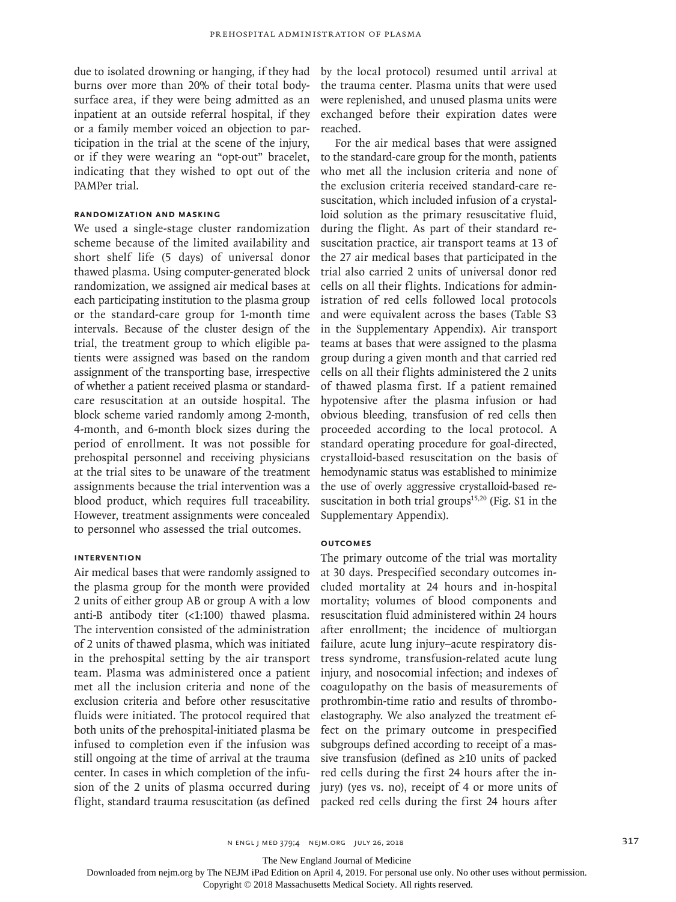due to isolated drowning or hanging, if they had burns over more than 20% of their total bodysurface area, if they were being admitted as an inpatient at an outside referral hospital, if they or a family member voiced an objection to participation in the trial at the scene of the injury, or if they were wearing an "opt-out" bracelet, indicating that they wished to opt out of the PAMPer trial.

# **Randomization and Masking**

We used a single-stage cluster randomization scheme because of the limited availability and short shelf life (5 days) of universal donor thawed plasma. Using computer-generated block randomization, we assigned air medical bases at each participating institution to the plasma group or the standard-care group for 1-month time intervals. Because of the cluster design of the trial, the treatment group to which eligible patients were assigned was based on the random assignment of the transporting base, irrespective of whether a patient received plasma or standardcare resuscitation at an outside hospital. The block scheme varied randomly among 2-month, 4-month, and 6-month block sizes during the period of enrollment. It was not possible for prehospital personnel and receiving physicians at the trial sites to be unaware of the treatment assignments because the trial intervention was a blood product, which requires full traceability. However, treatment assignments were concealed to personnel who assessed the trial outcomes.

# **Intervention**

Air medical bases that were randomly assigned to the plasma group for the month were provided 2 units of either group AB or group A with a low anti-B antibody titer (<1:100) thawed plasma. The intervention consisted of the administration of 2 units of thawed plasma, which was initiated in the prehospital setting by the air transport team. Plasma was administered once a patient met all the inclusion criteria and none of the exclusion criteria and before other resuscitative fluids were initiated. The protocol required that both units of the prehospital-initiated plasma be infused to completion even if the infusion was still ongoing at the time of arrival at the trauma center. In cases in which completion of the infusion of the 2 units of plasma occurred during flight, standard trauma resuscitation (as defined

by the local protocol) resumed until arrival at the trauma center. Plasma units that were used were replenished, and unused plasma units were exchanged before their expiration dates were reached.

For the air medical bases that were assigned to the standard-care group for the month, patients who met all the inclusion criteria and none of the exclusion criteria received standard-care resuscitation, which included infusion of a crystalloid solution as the primary resuscitative fluid, during the flight. As part of their standard resuscitation practice, air transport teams at 13 of the 27 air medical bases that participated in the trial also carried 2 units of universal donor red cells on all their flights. Indications for administration of red cells followed local protocols and were equivalent across the bases (Table S3 in the Supplementary Appendix). Air transport teams at bases that were assigned to the plasma group during a given month and that carried red cells on all their flights administered the 2 units of thawed plasma first. If a patient remained hypotensive after the plasma infusion or had obvious bleeding, transfusion of red cells then proceeded according to the local protocol. A standard operating procedure for goal-directed, crystalloid-based resuscitation on the basis of hemodynamic status was established to minimize the use of overly aggressive crystalloid-based resuscitation in both trial groups<sup>15,20</sup> (Fig. S1 in the Supplementary Appendix).

#### **Outcomes**

The primary outcome of the trial was mortality at 30 days. Prespecified secondary outcomes included mortality at 24 hours and in-hospital mortality; volumes of blood components and resuscitation fluid administered within 24 hours after enrollment; the incidence of multiorgan failure, acute lung injury–acute respiratory distress syndrome, transfusion-related acute lung injury, and nosocomial infection; and indexes of coagulopathy on the basis of measurements of prothrombin-time ratio and results of thromboelastography. We also analyzed the treatment effect on the primary outcome in prespecified subgroups defined according to receipt of a massive transfusion (defined as ≥10 units of packed red cells during the first 24 hours after the injury) (yes vs. no), receipt of 4 or more units of packed red cells during the first 24 hours after

The New England Journal of Medicine

Downloaded from nejm.org by The NEJM iPad Edition on April 4, 2019. For personal use only. No other uses without permission.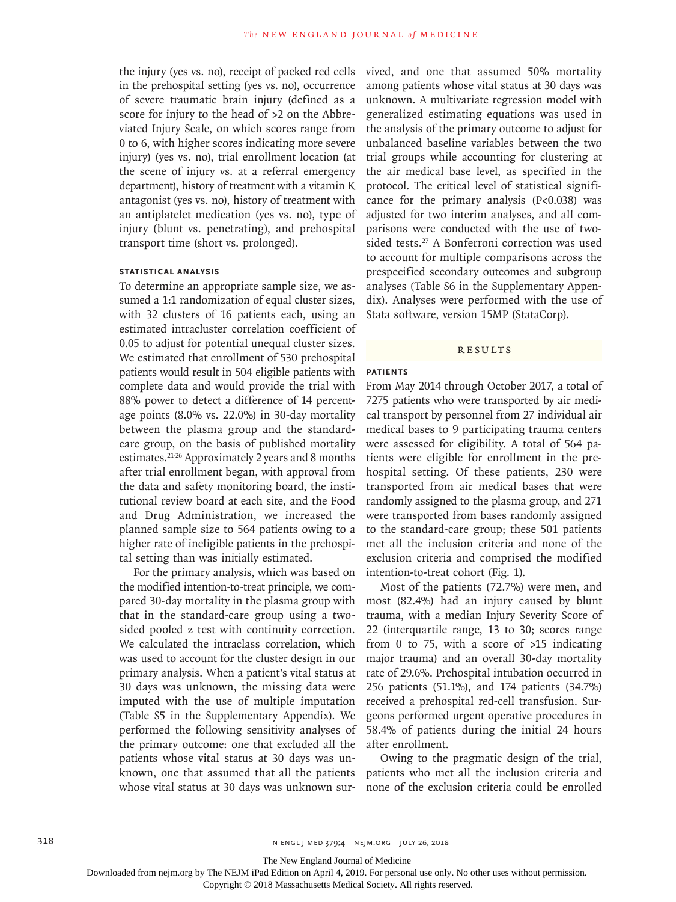the injury (yes vs. no), receipt of packed red cells in the prehospital setting (yes vs. no), occurrence of severe traumatic brain injury (defined as a score for injury to the head of  $>2$  on the Abbreviated Injury Scale, on which scores range from 0 to 6, with higher scores indicating more severe injury) (yes vs. no), trial enrollment location (at the scene of injury vs. at a referral emergency department), history of treatment with a vitamin K antagonist (yes vs. no), history of treatment with an antiplatelet medication (yes vs. no), type of injury (blunt vs. penetrating), and prehospital transport time (short vs. prolonged).

# **Statistical Analysis**

To determine an appropriate sample size, we assumed a 1:1 randomization of equal cluster sizes, with 32 clusters of 16 patients each, using an estimated intracluster correlation coefficient of 0.05 to adjust for potential unequal cluster sizes. We estimated that enrollment of 530 prehospital patients would result in 504 eligible patients with complete data and would provide the trial with 88% power to detect a difference of 14 percentage points (8.0% vs. 22.0%) in 30-day mortality between the plasma group and the standardcare group, on the basis of published mortality estimates.21-26 Approximately 2 years and 8 months after trial enrollment began, with approval from the data and safety monitoring board, the institutional review board at each site, and the Food and Drug Administration, we increased the planned sample size to 564 patients owing to a higher rate of ineligible patients in the prehospital setting than was initially estimated.

For the primary analysis, which was based on the modified intention-to-treat principle, we compared 30-day mortality in the plasma group with that in the standard-care group using a twosided pooled z test with continuity correction. We calculated the intraclass correlation, which was used to account for the cluster design in our primary analysis. When a patient's vital status at 30 days was unknown, the missing data were imputed with the use of multiple imputation (Table S5 in the Supplementary Appendix). We performed the following sensitivity analyses of the primary outcome: one that excluded all the patients whose vital status at 30 days was unknown, one that assumed that all the patients whose vital status at 30 days was unknown survived, and one that assumed 50% mortality among patients whose vital status at 30 days was unknown. A multivariate regression model with generalized estimating equations was used in the analysis of the primary outcome to adjust for unbalanced baseline variables between the two trial groups while accounting for clustering at the air medical base level, as specified in the protocol. The critical level of statistical significance for the primary analysis (P<0.038) was adjusted for two interim analyses, and all comparisons were conducted with the use of twosided tests.<sup>27</sup> A Bonferroni correction was used to account for multiple comparisons across the prespecified secondary outcomes and subgroup analyses (Table S6 in the Supplementary Appendix). Analyses were performed with the use of Stata software, version 15MP (StataCorp).

#### Results

#### **Patients**

From May 2014 through October 2017, a total of 7275 patients who were transported by air medical transport by personnel from 27 individual air medical bases to 9 participating trauma centers were assessed for eligibility. A total of 564 patients were eligible for enrollment in the prehospital setting. Of these patients, 230 were transported from air medical bases that were randomly assigned to the plasma group, and 271 were transported from bases randomly assigned to the standard-care group; these 501 patients met all the inclusion criteria and none of the exclusion criteria and comprised the modified intention-to-treat cohort (Fig. 1).

Most of the patients (72.7%) were men, and most (82.4%) had an injury caused by blunt trauma, with a median Injury Severity Score of 22 (interquartile range, 13 to 30; scores range from 0 to 75, with a score of >15 indicating major trauma) and an overall 30-day mortality rate of 29.6%. Prehospital intubation occurred in 256 patients (51.1%), and 174 patients (34.7%) received a prehospital red-cell transfusion. Surgeons performed urgent operative procedures in 58.4% of patients during the initial 24 hours after enrollment.

Owing to the pragmatic design of the trial, patients who met all the inclusion criteria and none of the exclusion criteria could be enrolled

The New England Journal of Medicine

Downloaded from nejm.org by The NEJM iPad Edition on April 4, 2019. For personal use only. No other uses without permission.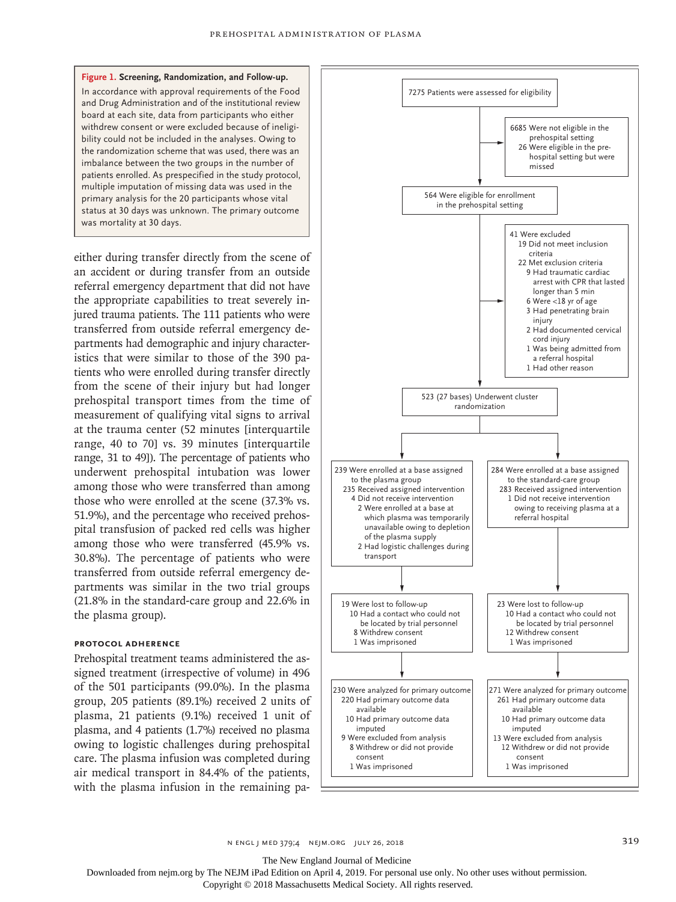**Figure 1. Screening, Randomization, and Follow-up.** In accordance with approval requirements of the Food and Drug Administration and of the institutional review board at each site, data from participants who either withdrew consent or were excluded because of ineligibility could not be included in the analyses. Owing to the randomization scheme that was used, there was an imbalance between the two groups in the number of patients enrolled. As prespecified in the study protocol, multiple imputation of missing data was used in the primary analysis for the 20 participants whose vital status at 30 days was unknown. The primary outcome was mortality at 30 days.

either during transfer directly from the scene of an accident or during transfer from an outside referral emergency department that did not have the appropriate capabilities to treat severely injured trauma patients. The 111 patients who were transferred from outside referral emergency departments had demographic and injury characteristics that were similar to those of the 390 patients who were enrolled during transfer directly from the scene of their injury but had longer prehospital transport times from the time of measurement of qualifying vital signs to arrival at the trauma center (52 minutes [interquartile range, 40 to 70] vs. 39 minutes [interquartile range, 31 to 49]). The percentage of patients who underwent prehospital intubation was lower among those who were transferred than among those who were enrolled at the scene (37.3% vs. 51.9%), and the percentage who received prehospital transfusion of packed red cells was higher among those who were transferred (45.9% vs. 30.8%). The percentage of patients who were transferred from outside referral emergency departments was similar in the two trial groups (21.8% in the standard-care group and 22.6% in the plasma group).

# **Protocol Adherence**

Prehospital treatment teams administered the assigned treatment (irrespective of volume) in 496 of the 501 participants (99.0%). In the plasma group, 205 patients (89.1%) received 2 units of plasma, 21 patients (9.1%) received 1 unit of plasma, and 4 patients (1.7%) received no plasma owing to logistic challenges during prehospital care. The plasma infusion was completed during air medical transport in 84.4% of the patients, with the plasma infusion in the remaining pa-



n engl j med 379;4 nejm.org July 26, 2018 319

The New England Journal of Medicine

Downloaded from nejm.org by The NEJM iPad Edition on April 4, 2019. For personal use only. No other uses without permission.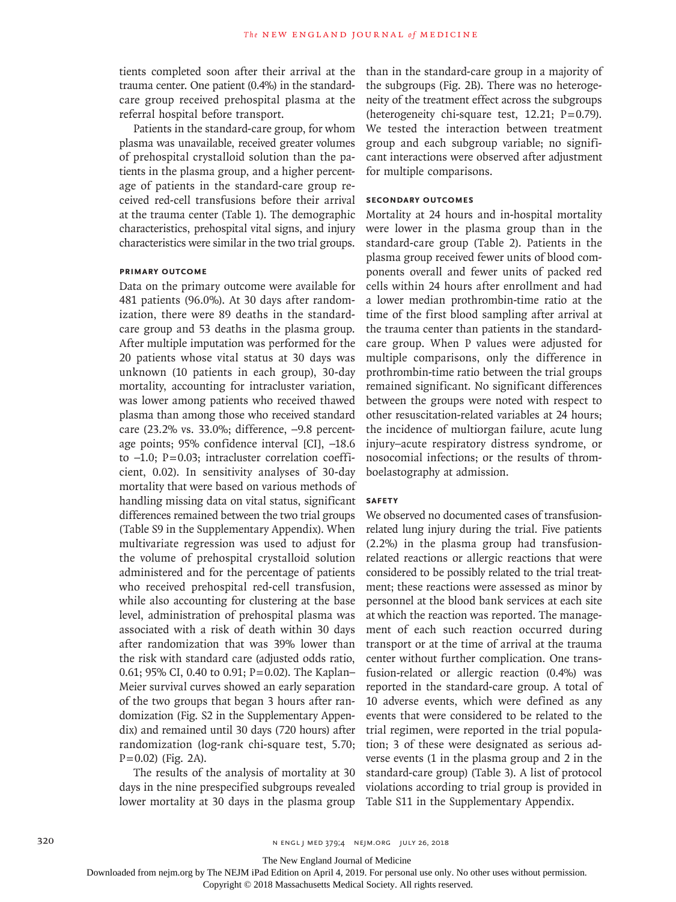tients completed soon after their arrival at the trauma center. One patient (0.4%) in the standardcare group received prehospital plasma at the referral hospital before transport.

Patients in the standard-care group, for whom plasma was unavailable, received greater volumes of prehospital crystalloid solution than the patients in the plasma group, and a higher percentage of patients in the standard-care group received red-cell transfusions before their arrival at the trauma center (Table 1). The demographic characteristics, prehospital vital signs, and injury characteristics were similar in the two trial groups.

## **Primary Outcome**

Data on the primary outcome were available for 481 patients (96.0%). At 30 days after randomization, there were 89 deaths in the standardcare group and 53 deaths in the plasma group. After multiple imputation was performed for the 20 patients whose vital status at 30 days was unknown (10 patients in each group), 30-day mortality, accounting for intracluster variation, was lower among patients who received thawed plasma than among those who received standard care (23.2% vs. 33.0%; difference, −9.8 percentage points; 95% confidence interval [CI], −18.6 to −1.0; P=0.03; intracluster correlation coefficient, 0.02). In sensitivity analyses of 30-day mortality that were based on various methods of handling missing data on vital status, significant differences remained between the two trial groups (Table S9 in the Supplementary Appendix). When multivariate regression was used to adjust for the volume of prehospital crystalloid solution administered and for the percentage of patients who received prehospital red-cell transfusion, while also accounting for clustering at the base level, administration of prehospital plasma was associated with a risk of death within 30 days after randomization that was 39% lower than the risk with standard care (adjusted odds ratio, 0.61; 95% CI, 0.40 to 0.91; P=0.02). The Kaplan– Meier survival curves showed an early separation of the two groups that began 3 hours after randomization (Fig. S2 in the Supplementary Appendix) and remained until 30 days (720 hours) after randomization (log-rank chi-square test, 5.70;  $P=0.02$ ) (Fig. 2A).

The results of the analysis of mortality at 30 days in the nine prespecified subgroups revealed lower mortality at 30 days in the plasma group than in the standard-care group in a majority of the subgroups (Fig. 2B). There was no heterogeneity of the treatment effect across the subgroups (heterogeneity chi-square test,  $12.21$ ;  $P=0.79$ ). We tested the interaction between treatment group and each subgroup variable; no significant interactions were observed after adjustment for multiple comparisons.

# **Secondary Outcomes**

Mortality at 24 hours and in-hospital mortality were lower in the plasma group than in the standard-care group (Table 2). Patients in the plasma group received fewer units of blood components overall and fewer units of packed red cells within 24 hours after enrollment and had a lower median prothrombin-time ratio at the time of the first blood sampling after arrival at the trauma center than patients in the standardcare group. When P values were adjusted for multiple comparisons, only the difference in prothrombin-time ratio between the trial groups remained significant. No significant differences between the groups were noted with respect to other resuscitation-related variables at 24 hours; the incidence of multiorgan failure, acute lung injury–acute respiratory distress syndrome, or nosocomial infections; or the results of thromboelastography at admission.

# **Safety**

We observed no documented cases of transfusionrelated lung injury during the trial. Five patients (2.2%) in the plasma group had transfusionrelated reactions or allergic reactions that were considered to be possibly related to the trial treatment; these reactions were assessed as minor by personnel at the blood bank services at each site at which the reaction was reported. The management of each such reaction occurred during transport or at the time of arrival at the trauma center without further complication. One transfusion-related or allergic reaction (0.4%) was reported in the standard-care group. A total of 10 adverse events, which were defined as any events that were considered to be related to the trial regimen, were reported in the trial population; 3 of these were designated as serious adverse events (1 in the plasma group and 2 in the standard-care group) (Table 3). A list of protocol violations according to trial group is provided in Table S11 in the Supplementary Appendix.

The New England Journal of Medicine

Downloaded from nejm.org by The NEJM iPad Edition on April 4, 2019. For personal use only. No other uses without permission.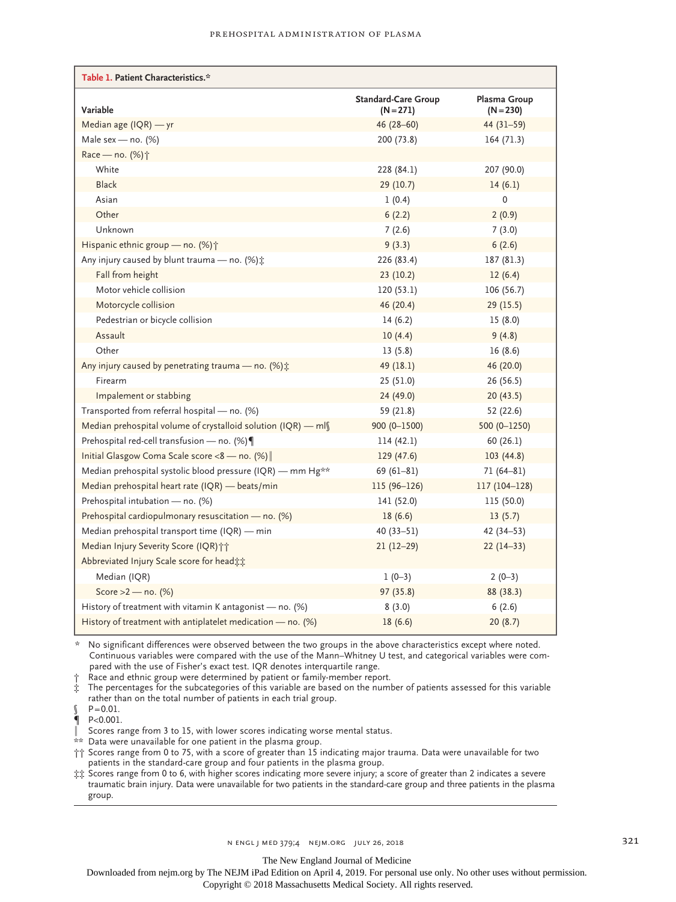| Table 1. Patient Characteristics.*                                    |                                           |                             |
|-----------------------------------------------------------------------|-------------------------------------------|-----------------------------|
| Variable                                                              | <b>Standard-Care Group</b><br>$(N = 271)$ | Plasma Group<br>$(N = 230)$ |
| Median age (IQR) - yr                                                 | $46(28-60)$                               | $44(31-59)$                 |
| Male sex - no. $(%)$                                                  | 200 (73.8)                                | 164(71.3)                   |
| Race - no. (%) <sup>+</sup>                                           |                                           |                             |
| White                                                                 | 228 (84.1)                                | 207 (90.0)                  |
| <b>Black</b>                                                          | 29(10.7)                                  | 14(6.1)                     |
| Asian                                                                 | 1(0.4)                                    | 0                           |
| Other                                                                 | 6(2.2)                                    | 2(0.9)                      |
| Unknown                                                               | 7(2.6)                                    | 7(3.0)                      |
| Hispanic ethnic group - no. (%) +                                     | 9(3.3)                                    | 6(2.6)                      |
| Any injury caused by blunt trauma - no. (%) :                         | 226 (83.4)                                | 187 (81.3)                  |
| Fall from height                                                      | 23(10.2)                                  | 12(6.4)                     |
| Motor vehicle collision                                               | 120(53.1)                                 | 106 (56.7)                  |
| Motorcycle collision                                                  | 46 (20.4)                                 | 29(15.5)                    |
| Pedestrian or bicycle collision                                       | 14(6.2)                                   | 15(8.0)                     |
| Assault                                                               | 10(4.4)                                   | 9(4.8)                      |
| Other                                                                 | 13(5.8)                                   | 16(8.6)                     |
| Any injury caused by penetrating trauma – no. $(\%)$ :                | 49 (18.1)                                 | 46 (20.0)                   |
| Firearm                                                               | 25 (51.0)                                 | 26 (56.5)                   |
| Impalement or stabbing                                                | 24 (49.0)                                 | 20(43.5)                    |
| Transported from referral hospital - no. (%)                          | 59 (21.8)                                 | 52 (22.6)                   |
| Median prehospital volume of crystalloid solution (IQR) $-$ ml $\int$ | $900(0 - 1500)$                           | $500(0 - 1250)$             |
| Prehospital red-cell transfusion - no. (%)                            | 114(42.1)                                 | 60(26.1)                    |
| Initial Glasgow Coma Scale score <8 - no. (%)                         | 129 (47.6)                                | 103(44.8)                   |
| Median prehospital systolic blood pressure (IQR) - mm Hg**            | 69 (61–81)                                | $71(64 - 81)$               |
| Median prehospital heart rate (IQR) — beats/min                       | $115(96-126)$                             | $117(104 - 128)$            |
| Prehospital intubation - no. (%)                                      | 141 (52.0)                                | 115 (50.0)                  |
| Prehospital cardiopulmonary resuscitation - no. (%)                   | 18(6.6)                                   | 13(5.7)                     |
| Median prehospital transport time (IQR) - min                         | $40(33 - 51)$                             | 42 (34–53)                  |
| Median Injury Severity Score (IQR)++                                  | $21(12-29)$                               | $22(14-33)$                 |
| Abbreviated Injury Scale score for head: ::                           |                                           |                             |
| Median (IQR)                                                          | $1(0-3)$                                  | $2(0-3)$                    |
| Score $>2$ - no. (%)                                                  | 97 (35.8)                                 | 88 (38.3)                   |
| History of treatment with vitamin K antagonist - no. (%)              | 8(3.0)                                    | 6(2.6)                      |
| History of treatment with antiplatelet medication - no. (%)           | 18(6.6)                                   | 20(8.7)                     |

\* No significant differences were observed between the two groups in the above characteristics except where noted. Continuous variables were compared with the use of the Mann–Whitney U test, and categorical variables were com‑ pared with the use of Fisher's exact test. IQR denotes interquartile range.

† Race and ethnic group were determined by patient or family-member report.

‡ The percentages for the subcategories of this variable are based on the number of patients assessed for this variable rather than on the total number of patients in each trial group.

 $P = 0.01$ .

 $\check{\P}$  P<0.001.

Scores range from 3 to 15, with lower scores indicating worse mental status.

\*\* Data were unavailable for one patient in the plasma group.

†† Scores range from 0 to 75, with a score of greater than 15 indicating major trauma. Data were unavailable for two patients in the standard-care group and four patients in the plasma group.

‡‡ Scores range from 0 to 6, with higher scores indicating more severe injury; a score of greater than 2 indicates a severe traumatic brain injury. Data were unavailable for two patients in the standard-care group and three patients in the plasma group.

The New England Journal of Medicine

Downloaded from nejm.org by The NEJM iPad Edition on April 4, 2019. For personal use only. No other uses without permission.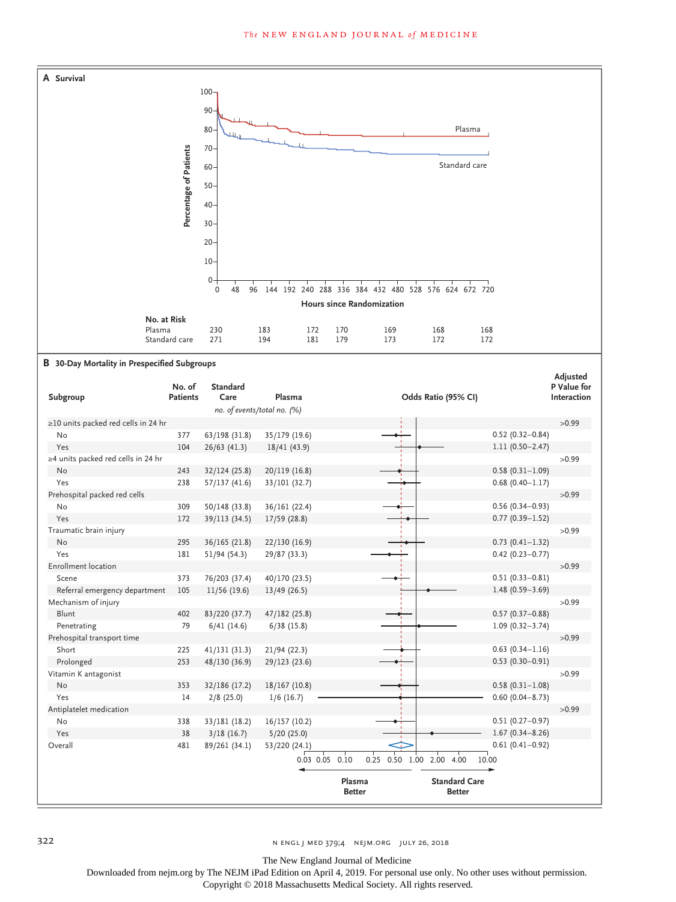

# **B 30-Day Mortality in Prespecified Subgroups**

|                                     | No. of   | <b>Standard</b> |                             |                     |                      |                     | Adjusted<br>P Value for |
|-------------------------------------|----------|-----------------|-----------------------------|---------------------|----------------------|---------------------|-------------------------|
| Subgroup                            | Patients | Care            | Plasma                      |                     | Odds Ratio (95% CI)  |                     | Interaction             |
|                                     |          |                 | no. of events/total no. (%) |                     |                      |                     |                         |
| ≥10 units packed red cells in 24 hr |          |                 |                             |                     |                      |                     | >0.99                   |
| No                                  | 377      | 63/198 (31.8)   | 35/179 (19.6)               |                     |                      | $0.52(0.32 - 0.84)$ |                         |
| Yes                                 | 104      | 26/63(41.3)     | 18/41 (43.9)                |                     |                      | $1.11(0.50 - 2.47)$ |                         |
| ≥4 units packed red cells in 24 hr  |          |                 |                             |                     |                      |                     | >0.99                   |
| No                                  | 243      | 32/124(25.8)    | 20/119 (16.8)               |                     |                      | $0.58(0.31 - 1.09)$ |                         |
| Yes                                 | 238      | 57/137(41.6)    | 33/101 (32.7)               |                     |                      | $0.68$ (0.40-1.17)  |                         |
| Prehospital packed red cells        |          |                 |                             |                     |                      |                     | >0.99                   |
| No                                  | 309      | 50/148(33.8)    | 36/161 (22.4)               |                     |                      | $0.56(0.34 - 0.93)$ |                         |
| Yes                                 | 172      | 39/113 (34.5)   | 17/59 (28.8)                |                     |                      | $0.77(0.39 - 1.52)$ |                         |
| Traumatic brain injury              |          |                 |                             |                     |                      |                     | >0.99                   |
| <b>No</b>                           | 295      | 36/165(21.8)    | 22/130 (16.9)               |                     |                      | $0.73(0.41 - 1.32)$ |                         |
| Yes                                 | 181      | 51/94(54.3)     | 29/87 (33.3)                |                     |                      | $0.42$ (0.23-0.77)  |                         |
| Enrollment location                 |          |                 |                             |                     |                      |                     | >0.99                   |
| Scene                               | 373      | 76/203 (37.4)   | 40/170 (23.5)               |                     |                      | $0.51(0.33 - 0.81)$ |                         |
| Referral emergency department       | 105      | 11/56(19.6)     | 13/49(26.5)                 |                     |                      | $1.48(0.59 - 3.69)$ |                         |
| Mechanism of injury                 |          |                 |                             |                     |                      |                     | >0.99                   |
| Blunt                               | 402      | 83/220 (37.7)   | 47/182 (25.8)               |                     |                      | $0.57(0.37 - 0.88)$ |                         |
| Penetrating                         | 79       | 6/41(14.6)      | 6/38(15.8)                  |                     |                      | $1.09(0.32 - 3.74)$ |                         |
| Prehospital transport time          |          |                 |                             |                     |                      |                     | >0.99                   |
| Short                               | 225      | 41/131(31.3)    | 21/94 (22.3)                |                     |                      | $0.63(0.34 - 1.16)$ |                         |
| Prolonged                           | 253      | 48/130 (36.9)   | 29/123 (23.6)               |                     |                      | $0.53(0.30-0.91)$   |                         |
| Vitamin K antagonist                |          |                 |                             |                     |                      |                     | >0.99                   |
| No                                  | 353      | 32/186 (17.2)   | 18/167 (10.8)               |                     |                      | $0.58(0.31 - 1.08)$ |                         |
| Yes                                 | 14       | $2/8$ (25.0)    | $1/6$ (16.7)                |                     |                      | $0.60(0.04 - 8.73)$ |                         |
| Antiplatelet medication             |          |                 |                             |                     |                      |                     | >0.99                   |
| No                                  | 338      | 33/181 (18.2)   | 16/157 (10.2)               |                     |                      | $0.51(0.27 - 0.97)$ |                         |
| Yes                                 | 38       | 3/18(16.7)      | 5/20(25.0)                  |                     |                      | $1.67(0.34 - 8.26)$ |                         |
| Overall                             | 481      | 89/261 (34.1)   | 53/220 (24.1)               |                     |                      | $0.61(0.41 - 0.92)$ |                         |
|                                     |          |                 | $0.03$ $0.05$ $0.10$        | 0.25<br>$0.50$ 1.00 | 2.00<br>4.00         | 10.00               |                         |
|                                     |          |                 |                             |                     |                      |                     |                         |
|                                     |          |                 |                             | Plasma              | <b>Standard Care</b> |                     |                         |
|                                     |          |                 |                             | <b>Better</b>       | <b>Better</b>        |                     |                         |

322 N ENGL J MED 379;4 NEJM.ORG JULY 26, 2018

The New England Journal of Medicine

Downloaded from nejm.org by The NEJM iPad Edition on April 4, 2019. For personal use only. No other uses without permission.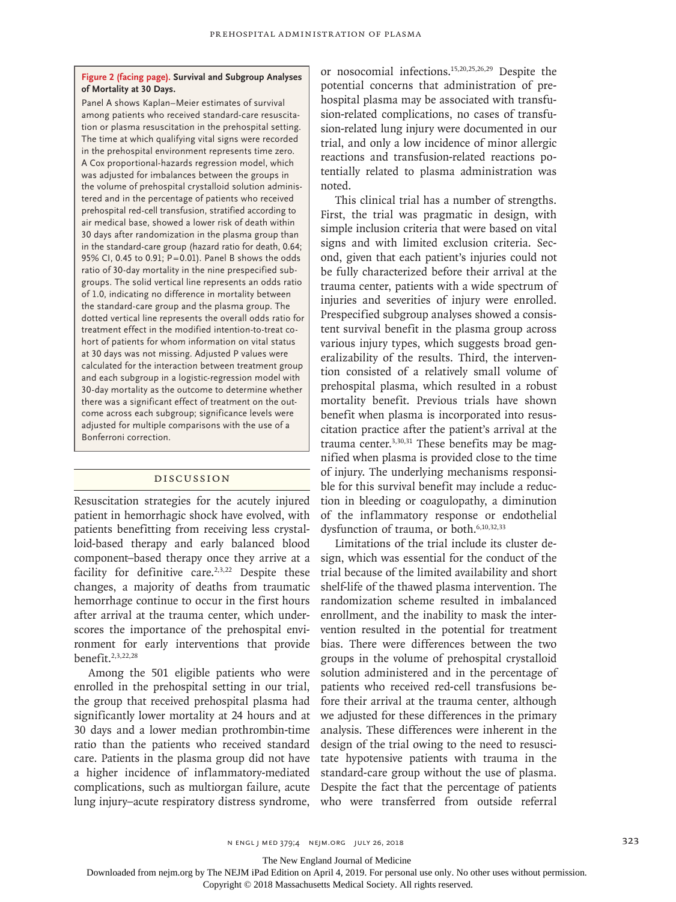#### **Figure 2 (facing page). Survival and Subgroup Analyses of Mortality at 30 Days.**

Panel A shows Kaplan–Meier estimates of survival among patients who received standard-care resuscitation or plasma resuscitation in the prehospital setting. The time at which qualifying vital signs were recorded in the prehospital environment represents time zero. A Cox proportional-hazards regression model, which was adjusted for imbalances between the groups in the volume of prehospital crystalloid solution administered and in the percentage of patients who received prehospital red-cell transfusion, stratified according to air medical base, showed a lower risk of death within 30 days after randomization in the plasma group than in the standard-care group (hazard ratio for death, 0.64; 95% CI, 0.45 to 0.91; P=0.01). Panel B shows the odds ratio of 30-day mortality in the nine prespecified subgroups. The solid vertical line represents an odds ratio of 1.0, indicating no difference in mortality between the standard-care group and the plasma group. The dotted vertical line represents the overall odds ratio for treatment effect in the modified intention-to-treat cohort of patients for whom information on vital status at 30 days was not missing. Adjusted P values were calculated for the interaction between treatment group and each subgroup in a logistic-regression model with 30-day mortality as the outcome to determine whether there was a significant effect of treatment on the outcome across each subgroup; significance levels were adjusted for multiple comparisons with the use of a Bonferroni correction.

# Discussion

Resuscitation strategies for the acutely injured patient in hemorrhagic shock have evolved, with patients benefitting from receiving less crystalloid-based therapy and early balanced blood component–based therapy once they arrive at a facility for definitive care.<sup>2,3,22</sup> Despite these changes, a majority of deaths from traumatic hemorrhage continue to occur in the first hours after arrival at the trauma center, which underscores the importance of the prehospital environment for early interventions that provide benefit.2,3,22,28

Among the 501 eligible patients who were enrolled in the prehospital setting in our trial, the group that received prehospital plasma had significantly lower mortality at 24 hours and at 30 days and a lower median prothrombin-time ratio than the patients who received standard care. Patients in the plasma group did not have a higher incidence of inflammatory-mediated complications, such as multiorgan failure, acute lung injury–acute respiratory distress syndrome, or nosocomial infections.15,20,25,26,29 Despite the potential concerns that administration of prehospital plasma may be associated with transfusion-related complications, no cases of transfusion-related lung injury were documented in our trial, and only a low incidence of minor allergic reactions and transfusion-related reactions potentially related to plasma administration was noted.

This clinical trial has a number of strengths. First, the trial was pragmatic in design, with simple inclusion criteria that were based on vital signs and with limited exclusion criteria. Second, given that each patient's injuries could not be fully characterized before their arrival at the trauma center, patients with a wide spectrum of injuries and severities of injury were enrolled. Prespecified subgroup analyses showed a consistent survival benefit in the plasma group across various injury types, which suggests broad generalizability of the results. Third, the intervention consisted of a relatively small volume of prehospital plasma, which resulted in a robust mortality benefit. Previous trials have shown benefit when plasma is incorporated into resuscitation practice after the patient's arrival at the trauma center.<sup>3,30,31</sup> These benefits may be magnified when plasma is provided close to the time of injury. The underlying mechanisms responsible for this survival benefit may include a reduction in bleeding or coagulopathy, a diminution of the inflammatory response or endothelial dysfunction of trauma, or both.<sup>6,10,32,33</sup>

Limitations of the trial include its cluster design, which was essential for the conduct of the trial because of the limited availability and short shelf-life of the thawed plasma intervention. The randomization scheme resulted in imbalanced enrollment, and the inability to mask the intervention resulted in the potential for treatment bias. There were differences between the two groups in the volume of prehospital crystalloid solution administered and in the percentage of patients who received red-cell transfusions before their arrival at the trauma center, although we adjusted for these differences in the primary analysis. These differences were inherent in the design of the trial owing to the need to resuscitate hypotensive patients with trauma in the standard-care group without the use of plasma. Despite the fact that the percentage of patients who were transferred from outside referral

The New England Journal of Medicine

Downloaded from nejm.org by The NEJM iPad Edition on April 4, 2019. For personal use only. No other uses without permission.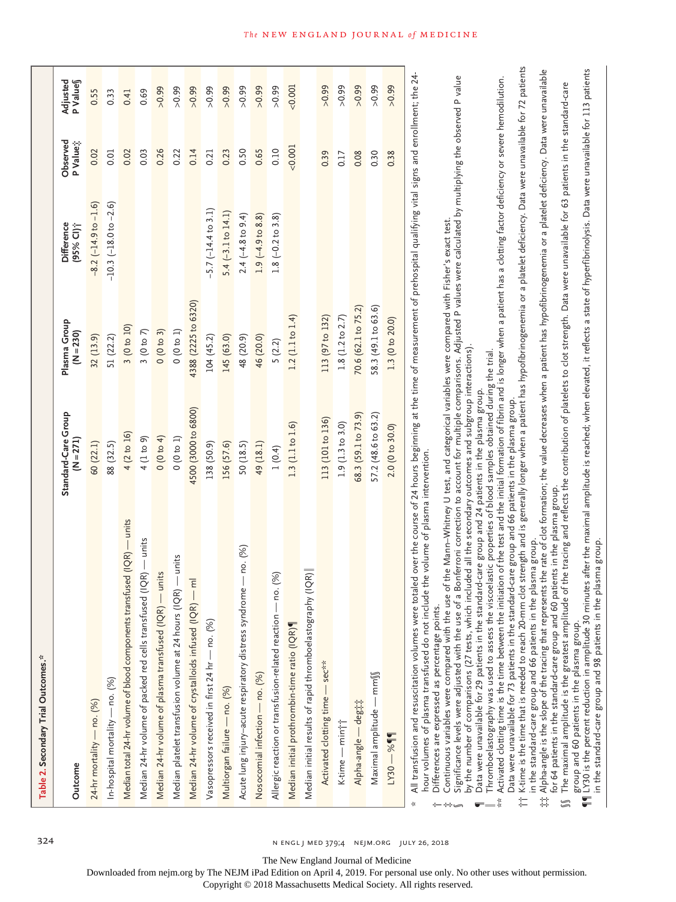| Table 2. Secondary Trial Outcomes.*                                                                                                                                                                                                                                         |                                    |                             |                                |                      |                                  |
|-----------------------------------------------------------------------------------------------------------------------------------------------------------------------------------------------------------------------------------------------------------------------------|------------------------------------|-----------------------------|--------------------------------|----------------------|----------------------------------|
| Outcome                                                                                                                                                                                                                                                                     | Standard-Care Group<br>$(N = 271)$ | Plasma Group<br>$(N = 230)$ | <b>Difference</b><br>(95% CI); | Observed<br>P Value; | Adjusted<br>P Value <sub>s</sub> |
| $24$ -hr mortality — no. $(%)$                                                                                                                                                                                                                                              | 60 (22.1)                          | 32 (13.9)                   | $-8.2$ ( $-14.9$ to $-1.6$ )   | 0.02                 | 0.55                             |
| In-hospital mortality — no. (%)                                                                                                                                                                                                                                             | 88 (32.5)                          | 51 (22.2)                   | $-10.3$ $(-18.0$ to $-2.6)$    | 0.01                 | 0.33                             |
| Median total 24-hr volume of blood components transfused (IQR) — units                                                                                                                                                                                                      | 4 (2 to 16)                        | 3(0 to 10)                  |                                | 0.02                 | 0.41                             |
| Median 24-hr volume of packed red cells transfused (IQR) — units                                                                                                                                                                                                            | 4 (1 to 9)                         | 3(0 to 7)                   |                                | 0.03                 | 0.69                             |
| $-$ units<br>Median 24-hr volume of plasma transfused (IQR)                                                                                                                                                                                                                 | (0 to 4)                           | 0(0 to 3)                   |                                | 0.26                 | 66.0<                            |
| Median platelet transfusion volume at 24 hours (IQR) — units                                                                                                                                                                                                                | 0(0 to 1)                          | 0(0 to 1)                   |                                | 0.22                 | 66.0<                            |
| $\frac{1}{2}$<br>Median 24-hr volume of crystalloids infused (IQR)                                                                                                                                                                                                          | 4500 (3000 to 6800)                | 4388 (2225 to 6320)         |                                | 0.14                 | $-0.99$                          |
| Vasopressors received in first 24 hr - no. (%)                                                                                                                                                                                                                              | 138 (50.9)                         | 104(45.2)                   | $-5.7$ $(-14.4$ to $3.1)$      | 0.21                 | $-0.99$                          |
| Multiorgan failure — no. (%)                                                                                                                                                                                                                                                | 156 (57.6)                         | 145 (63.0)                  | 5.4 $(-3.1 \text{ to } 14.1)$  | 0.23                 | 66.0<                            |
| Acute lung injury-acute respiratory distress syndrome — no. (%)                                                                                                                                                                                                             | 50(18.5)                           | 48 (20.9)                   | $2.4 (-4.8 to 9.4)$            | 0.50                 | 66.0<                            |
| Nosocomial infection - no. (%)                                                                                                                                                                                                                                              | 49 (18.1)                          | 46 (20.0)                   | 1.9 $(-4.9 \text{ to } 8.8)$   | 0.65                 | 66.0<                            |
| Allergic reaction or transfusion-related reaction — no. (%)                                                                                                                                                                                                                 | 1(0.4)                             | 5(2.2)                      | $1.8 (-0.2 to 3.8)$            | 0.10                 | 66.0<                            |
| Median initial prothrombin-time ratio (IQR)                                                                                                                                                                                                                                 | 1.3 (1.1 to 1.6)                   | $1.2$ ( $1.1$ to $1.4$ )    |                                | < 0.001              | 0.001                            |
| Median initial results of rapid thromboelastography (IQR)                                                                                                                                                                                                                   |                                    |                             |                                |                      |                                  |
| Activated clotting time - sec**                                                                                                                                                                                                                                             | 113 (101 to 136)                   | 113 (97 to 132)             |                                | 0.39                 | 66.0<                            |
| K-time — min††                                                                                                                                                                                                                                                              | 1.9(1.3 to 3.0)                    | $1.8$ (1.2 to 2.7)          |                                | 0.17                 | 66.0<                            |
| Alpha-angle — deg##                                                                                                                                                                                                                                                         | 68.3 (59.1 to 73.9)                | 70.6 (62.1 to 75.2)         |                                | 0.08                 | 66.0<                            |
| Maximal amplitude - mm                                                                                                                                                                                                                                                      | 57.2 (48.6 to 63.2)                | 58.3 (49.1 to 63.6)         |                                | 0.30                 | 66.0<                            |
| $N = 06$ Y30 - $\frac{8}{11}$                                                                                                                                                                                                                                               | 2.0(0 to 30.0)                     | 1.3 (0 to 20.0)             |                                | 0.38                 | 66.0 <                           |
| All transfusion and resuscitation volumes were totaled over the course of 24 hours beginning at the time of measurement of prehospital qualifying vital signs and enrollment; the 24-<br>hour volumes of plasma trapsfused do not include the volume of plasma intervention |                                    |                             |                                |                      |                                  |

hour volumes of plasma transfused do not include the volume of plasma intervention. Differences are expressed as percentage points. Differences are expressed as percentage points.

 Continuous variables were compared with the use of the Mann–Whitney U test, and categorical variables were compared with Fisher's exact test. Continuous variables were compared with the use of the Mann–Whitney U test, and categorical variables were compared with Fisher's exact test

 Significance levels were adjusted with the use of a Bonferroni correction to account for multiple comparisons. Adjusted P values were calculated by multiplying the observed P value Significance levels were adjusted with the use of a Bonferroni correction to account for multiple comparisons. Adjusted P values were calculated by multiplying the observed P value by the number of comparisons (27 tests, which included all the secondary outcomes and subgroup interactions). by the number of comparisons (27 tests, which included all the secondary outcomes and subgroup interactions) †‡§

Data were unavailable for 29 patients in the standard-care group and 24 patients in the plasma group. Data were unavailable for 29 patients in the standard-care group and 24 patients in the plasma group.  $\overline{\phantom{m}}$ 

Thromboelastography was used to assess the viscoelastic properties of blood samples obtained during the trial.  $\parallel$  Thromboelastography was used to assess the viscoelastic properties of blood samples obtained during the trial.

K-time is the time that is needed to reach 20-mm clot strength and is generally longer when a patient has hypofibrinogenemia or a platelet deficiency. Data were unavailable for 72 patients \*\* Activated clotting time is the time between the initiation of the test and the initial formation of fibrin and is longer when a patient has a clotting factor deficiency or severe hemodilution. Activated clotting time is the time between the initiation of the test and the initial formation of fibrin and is longer when a patient has a clotting factor deficiency or severe hemodilution. Data were unavailable for 73 patients in the standard-care group and 66 patients in the plasma group. Data were unavailable for 73 patients in the standard-care group and 66 patients in the plasma group.

†† K-time is the time that is needed to reach 20-mm clot strength and is generally longer when a patient has hypofibrinogenemia or a platelet deficiency. Data were unavailable for 72 patients in the standard-care group and 66 patients in the plasma group. in the standard-care group and 66 patients in the plasma group. 妇

 $\ddot{x}$ . Alpha-angle is the slope of the tracing that represents the rate of clot formation; the value decreases when a patient has hypofibrinogenemia or a platelet deficiency. Data were unavailable Alpha-angle is the slope of the tracing that represents the rate of clot formation; the value decreases when a patient has hypofibrinogenemia or a platelet deficiency. Data were unavailable for 64 patients in the standard-care group and 60 patients in the plasma group. for 64 patients in the standard-care group and 60 patients in the plasma group.  $\ddot{\mathbf{z}}$ 

The maximal amplitude is the greatest amplitude of the tracing and reflects the contribution of platelets to clot strength. Data were unavailable for 63 patients in the standard-care  $\mathbb S$  The maximal amplitude is the greatest amplitude of the tracing and reflects the contribution of platelets to clot strength. Data were unavailable for 63 patients in the standard-care group and 60 patients in the plasma group. group and 60 patients in the plasma group. S

LY30 is the percent reduction in amplitude 30 minutes after the maximal amplitude is reached; when elevated, it reflects a state of hyperfibrinolysis. Data were unavailable for 113 patients  $\P\P$  LY30 is the percent reduction in amplitude 30 minutes after the maximal amplitude is reached; when elevated, it reflects a state of hyperfibrinolysis. Data were unavailable for 113 patients in the standard-care group and 98 patients in the plasma group. in the standard-care group and 98 patients in the plasma group.  $\overline{\phantom{0}}$ 

324 **NED 379;4 NEW.ORG JULY 26, 2018** 

The New England Journal of Medicine

Downloaded from nejm.org by The NEJM iPad Edition on April 4, 2019. For personal use only. No other uses without permission.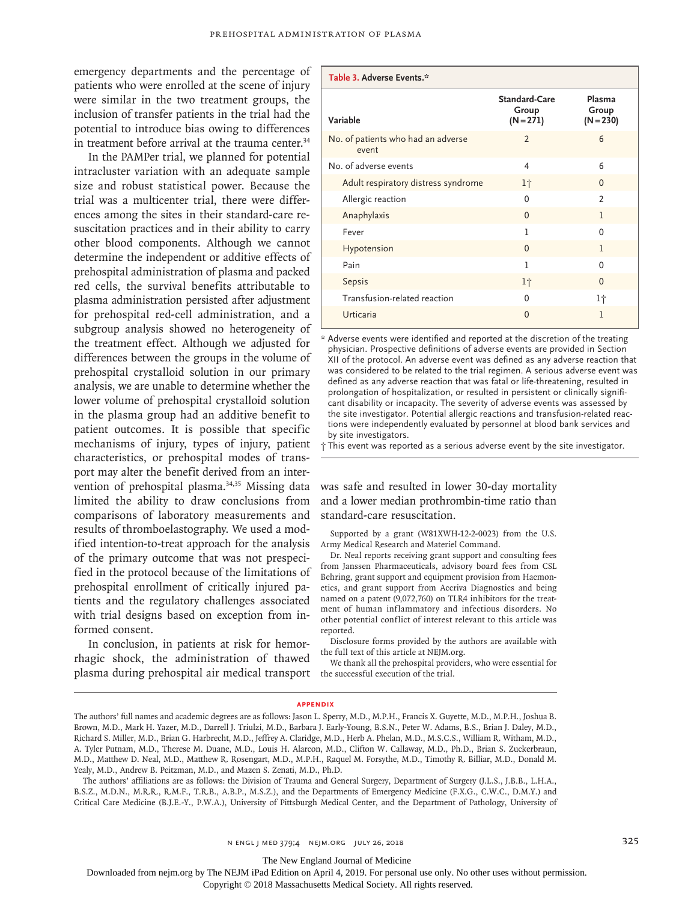**Table 3. Adverse Events.\***

emergency departments and the percentage of patients who were enrolled at the scene of injury were similar in the two treatment groups, the inclusion of transfer patients in the trial had the potential to introduce bias owing to differences in treatment before arrival at the trauma center.<sup>34</sup>

In the PAMPer trial, we planned for potential intracluster variation with an adequate sample size and robust statistical power. Because the trial was a multicenter trial, there were differences among the sites in their standard-care resuscitation practices and in their ability to carry other blood components. Although we cannot determine the independent or additive effects of prehospital administration of plasma and packed red cells, the survival benefits attributable to plasma administration persisted after adjustment for prehospital red-cell administration, and a subgroup analysis showed no heterogeneity of the treatment effect. Although we adjusted for differences between the groups in the volume of prehospital crystalloid solution in our primary analysis, we are unable to determine whether the lower volume of prehospital crystalloid solution in the plasma group had an additive benefit to patient outcomes. It is possible that specific mechanisms of injury, types of injury, patient characteristics, or prehospital modes of transport may alter the benefit derived from an intervention of prehospital plasma.<sup>34,35</sup> Missing data limited the ability to draw conclusions from comparisons of laboratory measurements and results of thromboelastography. We used a modified intention-to-treat approach for the analysis of the primary outcome that was not prespecified in the protocol because of the limitations of prehospital enrollment of critically injured patients and the regulatory challenges associated with trial designs based on exception from informed consent.

In conclusion, in patients at risk for hemorrhagic shock, the administration of thawed plasma during prehospital air medical transport

| TADIE J. MUVETSE EVENIS.''                  |                                              |                                |
|---------------------------------------------|----------------------------------------------|--------------------------------|
| Variable                                    | <b>Standard-Care</b><br>Group<br>$(N = 271)$ | Plasma<br>Group<br>$(N = 230)$ |
| No. of patients who had an adverse<br>event | $\overline{2}$                               | 6                              |
| No. of adverse events                       | $\overline{4}$                               | 6                              |
| Adult respiratory distress syndrome         | 1†                                           | $\Omega$                       |
| Allergic reaction                           | $\mathbf{0}$                                 | $\overline{2}$                 |
| Anaphylaxis                                 | $\mathbf{0}$                                 | 1                              |
| Fever                                       | 1                                            | $\Omega$                       |
| Hypotension                                 | $\mathbf{0}$                                 | 1                              |
| Pain                                        | 1                                            | 0                              |
| Sepsis                                      | 1 <sub>1</sub>                               | $\Omega$                       |
| Transfusion-related reaction                | $\Omega$                                     | lΫ                             |
| Urticaria                                   | $\Omega$                                     | 1                              |

\* Adverse events were identified and reported at the discretion of the treating physician. Prospective definitions of adverse events are provided in Section XII of the protocol. An adverse event was defined as any adverse reaction that was considered to be related to the trial regimen. A serious adverse event was defined as any adverse reaction that was fatal or life-threatening, resulted in prolongation of hospitalization, or resulted in persistent or clinically significant disability or incapacity. The severity of adverse events was assessed by the site investigator. Potential allergic reactions and transfusion-related reac‑ tions were independently evaluated by personnel at blood bank services and by site investigators.

† This event was reported as a serious adverse event by the site investigator.

was safe and resulted in lower 30-day mortality and a lower median prothrombin-time ratio than standard-care resuscitation.

Supported by a grant (W81XWH-12-2-0023) from the U.S. Army Medical Research and Materiel Command.

Dr. Neal reports receiving grant support and consulting fees from Janssen Pharmaceuticals, advisory board fees from CSL Behring, grant support and equipment provision from Haemonetics, and grant support from Accriva Diagnostics and being named on a patent (9,072,760) on TLR4 inhibitors for the treatment of human inflammatory and infectious disorders. No other potential conflict of interest relevant to this article was reported.

Disclosure forms provided by the authors are available with the full text of this article at NEJM.org.

We thank all the prehospital providers, who were essential for the successful execution of the trial.

#### **Appendix**

The New England Journal of Medicine

Downloaded from nejm.org by The NEJM iPad Edition on April 4, 2019. For personal use only. No other uses without permission.

The authors' full names and academic degrees are as follows: Jason L. Sperry, M.D., M.P.H., Francis X. Guyette, M.D., M.P.H., Joshua B. Brown, M.D., Mark H. Yazer, M.D., Darrell J. Triulzi, M.D., Barbara J. Early-Young, B.S.N., Peter W. Adams, B.S., Brian J. Daley, M.D., Richard S. Miller, M.D., Brian G. Harbrecht, M.D., Jeffrey A. Claridge, M.D., Herb A. Phelan, M.D., M.S.C.S., William R. Witham, M.D., A. Tyler Putnam, M.D., Therese M. Duane, M.D., Louis H. Alarcon, M.D., Clifton W. Callaway, M.D., Ph.D., Brian S. Zuckerbraun, M.D., Matthew D. Neal, M.D., Matthew R. Rosengart, M.D., M.P.H., Raquel M. Forsythe, M.D., Timothy R. Billiar, M.D., Donald M. Yealy, M.D., Andrew B. Peitzman, M.D., and Mazen S. Zenati, M.D., Ph.D.

The authors' affiliations are as follows: the Division of Trauma and General Surgery, Department of Surgery (J.L.S., J.B.B., L.H.A., B.S.Z., M.D.N., M.R.R., R.M.F., T.R.B., A.B.P., M.S.Z.), and the Departments of Emergency Medicine (F.X.G., C.W.C., D.M.Y.) and Critical Care Medicine (B.J.E.-Y., P.W.A.), University of Pittsburgh Medical Center, and the Department of Pathology, University of